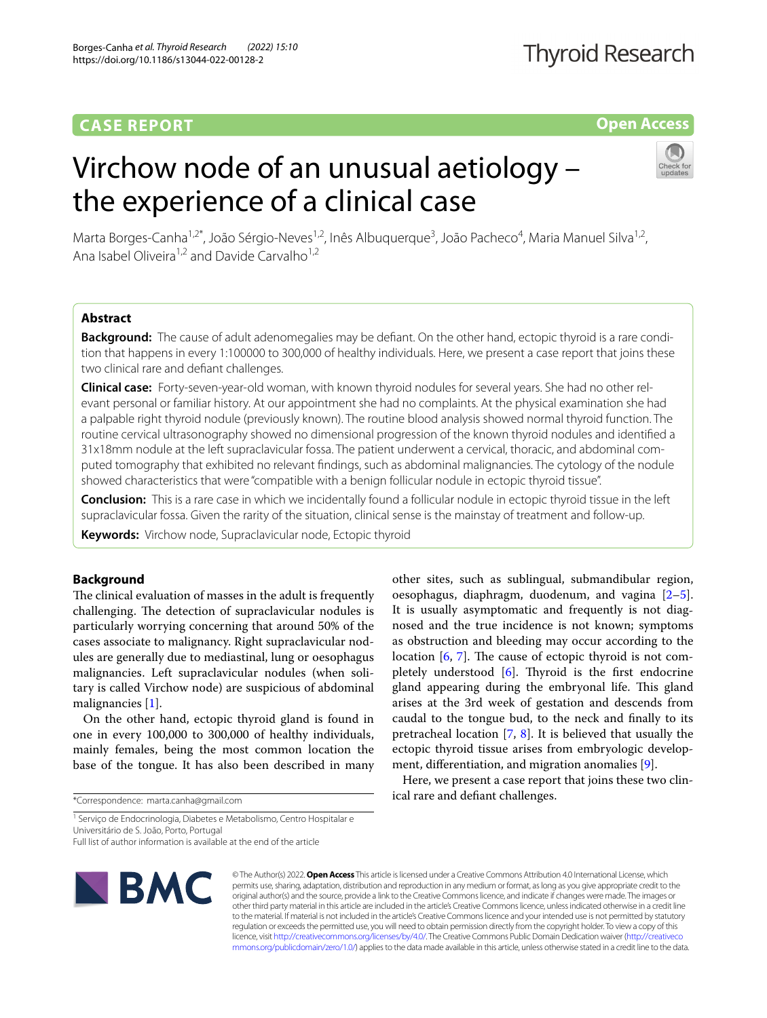# **CASE REPORT**

# **Open Access**

# Virchow node of an unusual aetiology – the experience of a clinical case



Marta Borges-Canha<sup>1,2\*</sup>, João Sérgio-Neves<sup>1,2</sup>, Inês Albuquerque<sup>3</sup>, João Pacheco<sup>4</sup>, Maria Manuel Silva<sup>1,2</sup>, Ana Isabel Oliveira<sup>1,2</sup> and Davide Carvalho<sup>1,2</sup>

# **Abstract**

**Background:** The cause of adult adenomegalies may be defiant. On the other hand, ectopic thyroid is a rare condition that happens in every 1:100000 to 300,000 of healthy individuals. Here, we present a case report that joins these two clinical rare and defant challenges.

**Clinical case:** Forty-seven-year-old woman, with known thyroid nodules for several years. She had no other rel‑ evant personal or familiar history. At our appointment she had no complaints. At the physical examination she had a palpable right thyroid nodule (previously known). The routine blood analysis showed normal thyroid function. The routine cervical ultrasonography showed no dimensional progression of the known thyroid nodules and identifed a 31x18mm nodule at the left supraclavicular fossa. The patient underwent a cervical, thoracic, and abdominal com‑ puted tomography that exhibited no relevant fndings, such as abdominal malignancies. The cytology of the nodule showed characteristics that were "compatible with a benign follicular nodule in ectopic thyroid tissue".

**Conclusion:** This is a rare case in which we incidentally found a follicular nodule in ectopic thyroid tissue in the left supraclavicular fossa. Given the rarity of the situation, clinical sense is the mainstay of treatment and follow-up.

**Keywords:** Virchow node, Supraclavicular node, Ectopic thyroid

# **Background**

The clinical evaluation of masses in the adult is frequently challenging. The detection of supraclavicular nodules is particularly worrying concerning that around 50% of the cases associate to malignancy. Right supraclavicular nodules are generally due to mediastinal, lung or oesophagus malignancies. Left supraclavicular nodules (when solitary is called Virchow node) are suspicious of abdominal malignancies [[1\]](#page-2-0).

On the other hand, ectopic thyroid gland is found in one in every 100,000 to 300,000 of healthy individuals, mainly females, being the most common location the base of the tongue. It has also been described in many

\*Correspondence: marta.canha@gmail.com

<sup>1</sup> Serviço de Endocrinologia, Diabetes e Metabolismo, Centro Hospitalar e Universitário de S. João, Porto, Portugal

Full list of author information is available at the end of the article



© The Author(s) 2022. **Open Access** This article is licensed under a Creative Commons Attribution 4.0 International License, which permits use, sharing, adaptation, distribution and reproduction in any medium or format, as long as you give appropriate credit to the original author(s) and the source, provide a link to the Creative Commons licence, and indicate if changes were made. The images or other third party material in this article are included in the article's Creative Commons licence, unless indicated otherwise in a credit line to the material. If material is not included in the article's Creative Commons licence and your intended use is not permitted by statutory regulation or exceeds the permitted use, you will need to obtain permission directly from the copyright holder. To view a copy of this licence, visit [http://creativecommons.org/licenses/by/4.0/.](http://creativecommons.org/licenses/by/4.0/) The Creative Commons Public Domain Dedication waiver ([http://creativeco](http://creativecommons.org/publicdomain/zero/1.0/) [mmons.org/publicdomain/zero/1.0/](http://creativecommons.org/publicdomain/zero/1.0/)) applies to the data made available in this article, unless otherwise stated in a credit line to the data.

other sites, such as sublingual, submandibular region, oesophagus, diaphragm, duodenum, and vagina [\[2](#page-2-1)[–5](#page-2-2)]. It is usually asymptomatic and frequently is not diagnosed and the true incidence is not known; symptoms as obstruction and bleeding may occur according to the location  $[6, 7]$  $[6, 7]$  $[6, 7]$ . The cause of ectopic thyroid is not completely understood  $[6]$  $[6]$  $[6]$ . Thyroid is the first endocrine gland appearing during the embryonal life. This gland arises at the 3rd week of gestation and descends from caudal to the tongue bud, to the neck and fnally to its pretracheal location [[7,](#page-2-4) [8](#page-2-5)]. It is believed that usually the ectopic thyroid tissue arises from embryologic development, diferentiation, and migration anomalies [\[9](#page-2-6)].

Here, we present a case report that joins these two clinical rare and defant challenges.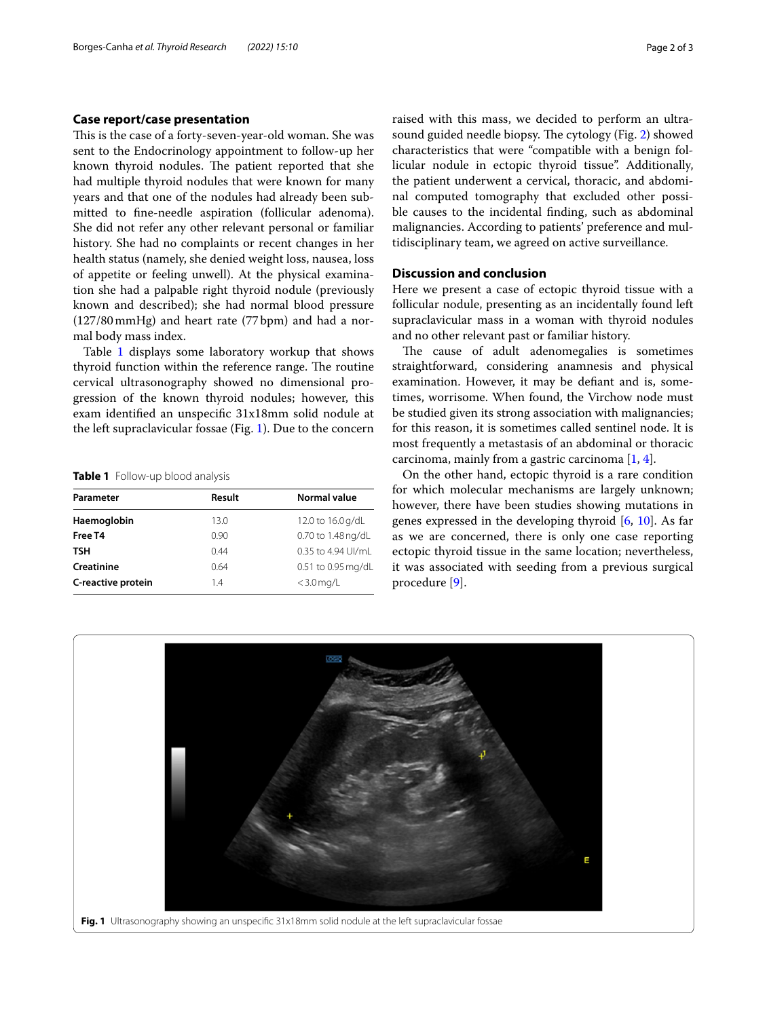# **Case report/case presentation**

This is the case of a forty-seven-year-old woman. She was sent to the Endocrinology appointment to follow-up her known thyroid nodules. The patient reported that she had multiple thyroid nodules that were known for many years and that one of the nodules had already been submitted to fne-needle aspiration (follicular adenoma). She did not refer any other relevant personal or familiar history. She had no complaints or recent changes in her health status (namely, she denied weight loss, nausea, loss of appetite or feeling unwell). At the physical examination she had a palpable right thyroid nodule (previously known and described); she had normal blood pressure (127/80mmHg) and heart rate (77bpm) and had a normal body mass index.

Table [1](#page-1-0) displays some laboratory workup that shows thyroid function within the reference range. The routine cervical ultrasonography showed no dimensional progression of the known thyroid nodules; however, this exam identifed an unspecifc 31x18mm solid nodule at the left supraclavicular fossae (Fig. [1](#page-1-1)). Due to the concern

<span id="page-1-0"></span>**Table 1** Follow-up blood analysis

| Parameter          | <b>Result</b> | Normal value       |
|--------------------|---------------|--------------------|
| Haemoglobin        | 13.0          | 12.0 to 16.0 g/dL  |
| Free T4            | 0.90          | 0.70 to 1.48 ng/dL |
| TSH                | 0.44          | 0.35 to 4.94 UI/mL |
| Creatinine         | 0.64          | 0.51 to 0.95 mg/dL |
| C-reactive protein | 1.4           | $<$ 3.0 mg/L       |

raised with this mass, we decided to perform an ultra-sound guided needle biopsy. The cytology (Fig. [2](#page-2-7)) showed characteristics that were "compatible with a benign follicular nodule in ectopic thyroid tissue". Additionally, the patient underwent a cervical, thoracic, and abdominal computed tomography that excluded other possible causes to the incidental fnding, such as abdominal malignancies. According to patients' preference and multidisciplinary team, we agreed on active surveillance.

## **Discussion and conclusion**

Here we present a case of ectopic thyroid tissue with a follicular nodule, presenting as an incidentally found left supraclavicular mass in a woman with thyroid nodules and no other relevant past or familiar history.

The cause of adult adenomegalies is sometimes straightforward, considering anamnesis and physical examination. However, it may be defant and is, sometimes, worrisome. When found, the Virchow node must be studied given its strong association with malignancies; for this reason, it is sometimes called sentinel node. It is most frequently a metastasis of an abdominal or thoracic carcinoma, mainly from a gastric carcinoma [\[1,](#page-2-0) [4](#page-2-8)].

On the other hand, ectopic thyroid is a rare condition for which molecular mechanisms are largely unknown; however, there have been studies showing mutations in genes expressed in the developing thyroid [[6,](#page-2-3) [10\]](#page-2-9). As far as we are concerned, there is only one case reporting ectopic thyroid tissue in the same location; nevertheless, it was associated with seeding from a previous surgical procedure [\[9](#page-2-6)].

<span id="page-1-1"></span>